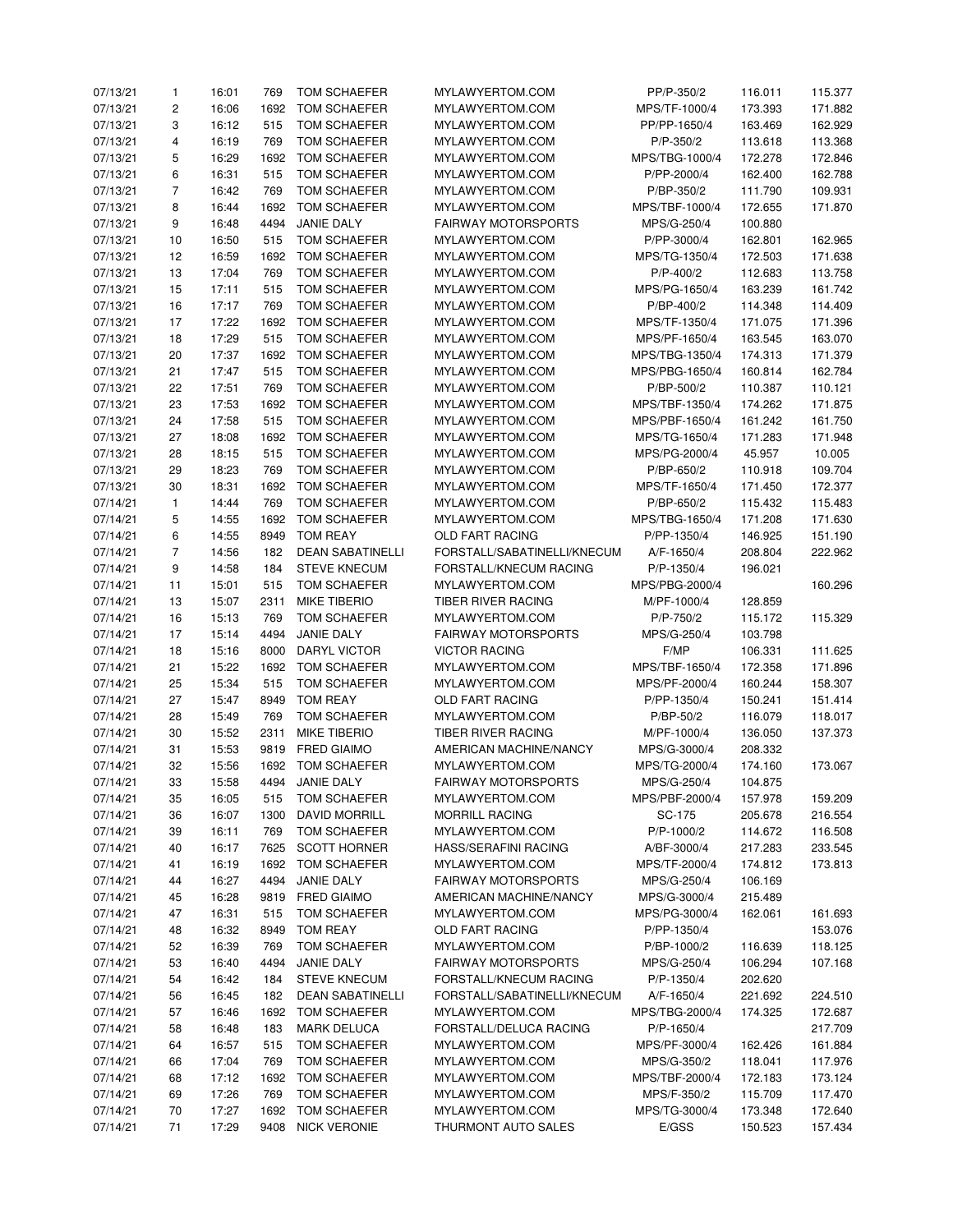| 07/13/21             | $\mathbf{1}$   | 16:01 | 769  | TOM SCHAEFER            | MYLAWYERTOM.COM             | PP/P-350/2     | 116.011 | 115.377 |
|----------------------|----------------|-------|------|-------------------------|-----------------------------|----------------|---------|---------|
| 07/13/21             | $\overline{c}$ | 16:06 | 1692 | TOM SCHAEFER            | MYLAWYERTOM.COM             | MPS/TF-1000/4  | 173.393 | 171.882 |
| 07/13/21             | 3              | 16:12 | 515  | TOM SCHAEFER            | MYLAWYERTOM.COM             | PP/PP-1650/4   | 163.469 | 162.929 |
| 07/13/21             | $\overline{4}$ | 16:19 | 769  | TOM SCHAEFER            | MYLAWYERTOM.COM             | P/P-350/2      | 113.618 | 113.368 |
| 07/13/21             | 5              | 16:29 | 1692 | TOM SCHAEFER            | MYLAWYERTOM.COM             | MPS/TBG-1000/4 | 172.278 | 172.846 |
| 07/13/21             | 6              | 16:31 | 515  | <b>TOM SCHAEFER</b>     | MYLAWYERTOM.COM             | P/PP-2000/4    | 162.400 | 162.788 |
| 07/13/21             | $\overline{7}$ | 16:42 | 769  | TOM SCHAEFER            | MYLAWYERTOM.COM             | P/BP-350/2     | 111.790 | 109.931 |
| 07/13/21             | 8              | 16:44 | 1692 | TOM SCHAEFER            | MYLAWYERTOM.COM             | MPS/TBF-1000/4 | 172.655 | 171.870 |
| 07/13/21             | 9              | 16:48 | 4494 | <b>JANIE DALY</b>       | <b>FAIRWAY MOTORSPORTS</b>  | MPS/G-250/4    | 100.880 |         |
| 07/13/21             | 10             | 16:50 | 515  | TOM SCHAEFER            | MYLAWYERTOM.COM             | P/PP-3000/4    | 162.801 | 162.965 |
| 07/13/21             | 12             | 16:59 | 1692 | <b>TOM SCHAEFER</b>     | MYLAWYERTOM.COM             | MPS/TG-1350/4  | 172.503 | 171.638 |
|                      |                | 17:04 | 769  |                         | MYLAWYERTOM.COM             | $P/P - 400/2$  |         |         |
| 07/13/21<br>07/13/21 | 13             | 17:11 |      | TOM SCHAEFER            | MYLAWYERTOM.COM             |                | 112.683 | 113.758 |
|                      | 15             |       | 515  | TOM SCHAEFER            |                             | MPS/PG-1650/4  | 163.239 | 161.742 |
| 07/13/21             | 16             | 17:17 | 769  | TOM SCHAEFER            | MYLAWYERTOM.COM             | P/BP-400/2     | 114.348 | 114.409 |
| 07/13/21             | 17             | 17:22 | 1692 | TOM SCHAEFER            | MYLAWYERTOM.COM             | MPS/TF-1350/4  | 171.075 | 171.396 |
| 07/13/21             | 18             | 17:29 | 515  | TOM SCHAEFER            | MYLAWYERTOM.COM             | MPS/PF-1650/4  | 163.545 | 163.070 |
| 07/13/21             | 20             | 17:37 | 1692 | TOM SCHAEFER            | MYLAWYERTOM.COM             | MPS/TBG-1350/4 | 174.313 | 171.379 |
| 07/13/21             | 21             | 17:47 | 515  | TOM SCHAEFER            | MYLAWYERTOM.COM             | MPS/PBG-1650/4 | 160.814 | 162.784 |
| 07/13/21             | 22             | 17:51 | 769  | TOM SCHAEFER            | MYLAWYERTOM.COM             | P/BP-500/2     | 110.387 | 110.121 |
| 07/13/21             | 23             | 17:53 | 1692 | TOM SCHAEFER            | MYLAWYERTOM.COM             | MPS/TBF-1350/4 | 174.262 | 171.875 |
| 07/13/21             | 24             | 17:58 | 515  | TOM SCHAEFER            | MYLAWYERTOM.COM             | MPS/PBF-1650/4 | 161.242 | 161.750 |
| 07/13/21             | 27             | 18:08 | 1692 | TOM SCHAEFER            | MYLAWYERTOM.COM             | MPS/TG-1650/4  | 171.283 | 171.948 |
| 07/13/21             | 28             | 18:15 | 515  | TOM SCHAEFER            | MYLAWYERTOM.COM             | MPS/PG-2000/4  | 45.957  | 10.005  |
| 07/13/21             | 29             | 18:23 | 769  | TOM SCHAEFER            | MYLAWYERTOM.COM             | P/BP-650/2     | 110.918 | 109.704 |
| 07/13/21             | 30             | 18:31 | 1692 | <b>TOM SCHAEFER</b>     | MYLAWYERTOM.COM             | MPS/TF-1650/4  | 171.450 | 172.377 |
| 07/14/21             | $\mathbf{1}$   | 14:44 | 769  | TOM SCHAEFER            | MYLAWYERTOM.COM             | P/BP-650/2     | 115.432 | 115.483 |
| 07/14/21             | 5              | 14:55 | 1692 | <b>TOM SCHAEFER</b>     | MYLAWYERTOM.COM             | MPS/TBG-1650/4 | 171.208 | 171.630 |
| 07/14/21             | 6              | 14:55 | 8949 | <b>TOM REAY</b>         | <b>OLD FART RACING</b>      | P/PP-1350/4    | 146.925 | 151.190 |
| 07/14/21             | $\overline{7}$ | 14:56 | 182  | <b>DEAN SABATINELLI</b> | FORSTALL/SABATINELLI/KNECUM | A/F-1650/4     | 208.804 | 222.962 |
| 07/14/21             | 9              | 14:58 | 184  | <b>STEVE KNECUM</b>     | FORSTALL/KNECUM RACING      | P/P-1350/4     | 196.021 |         |
| 07/14/21             | 11             | 15:01 | 515  | TOM SCHAEFER            | MYLAWYERTOM.COM             | MPS/PBG-2000/4 |         | 160.296 |
| 07/14/21             | 13             | 15:07 | 2311 | <b>MIKE TIBERIO</b>     | TIBER RIVER RACING          | M/PF-1000/4    | 128.859 |         |
| 07/14/21             | 16             | 15:13 | 769  | TOM SCHAEFER            | MYLAWYERTOM.COM             | P/P-750/2      | 115.172 | 115.329 |
| 07/14/21             | 17             | 15:14 | 4494 | <b>JANIE DALY</b>       | <b>FAIRWAY MOTORSPORTS</b>  | MPS/G-250/4    | 103.798 |         |
| 07/14/21             | 18             | 15:16 | 8000 | DARYL VICTOR            | <b>VICTOR RACING</b>        | F/MP           | 106.331 | 111.625 |
| 07/14/21             | 21             | 15:22 | 1692 | TOM SCHAEFER            | MYLAWYERTOM.COM             | MPS/TBF-1650/4 | 172.358 | 171.896 |
| 07/14/21             | 25             | 15:34 | 515  | TOM SCHAEFER            | MYLAWYERTOM.COM             | MPS/PF-2000/4  | 160.244 | 158.307 |
| 07/14/21             | 27             | 15:47 | 8949 | <b>TOM REAY</b>         | OLD FART RACING             | P/PP-1350/4    | 150.241 | 151.414 |
| 07/14/21             | 28             | 15:49 | 769  | TOM SCHAEFER            | MYLAWYERTOM.COM             | P/BP-50/2      | 116.079 | 118.017 |
| 07/14/21             | 30             | 15:52 | 2311 | <b>MIKE TIBERIO</b>     | TIBER RIVER RACING          | M/PF-1000/4    | 136.050 | 137.373 |
| 07/14/21             | 31             | 15:53 | 9819 | <b>FRED GIAIMO</b>      | AMERICAN MACHINE/NANCY      | MPS/G-3000/4   | 208.332 |         |
| 07/14/21             | 32             | 15:56 |      | 1692 TOM SCHAEFER       | MYLAWYERTOM.COM             | MPS/TG-2000/4  | 174.160 | 173.067 |
| 07/14/21             | 33             | 15:58 | 4494 | JANIE DALY              | <b>FAIRWAY MOTORSPORTS</b>  | MPS/G-250/4    | 104.875 |         |
| 07/14/21             | 35             | 16:05 | 515  | TOM SCHAEFER            | MYLAWYERTOM.COM             | MPS/PBF-2000/4 | 157.978 | 159.209 |
| 07/14/21             | 36             | 16:07 | 1300 | DAVID MORRILL           | <b>MORRILL RACING</b>       | SC-175         | 205.678 | 216.554 |
| 07/14/21             | 39             | 16:11 | 769  | TOM SCHAEFER            | MYLAWYERTOM.COM             | P/P-1000/2     | 114.672 | 116.508 |
| 07/14/21             | 40             | 16:17 |      | 7625 SCOTT HORNER       | <b>HASS/SERAFINI RACING</b> | A/BF-3000/4    | 217.283 | 233.545 |
| 07/14/21             | 41             | 16:19 |      | 1692 TOM SCHAEFER       | MYLAWYERTOM.COM             | MPS/TF-2000/4  | 174.812 | 173.813 |
| 07/14/21             | 44             | 16:27 |      | 4494 JANIE DALY         | <b>FAIRWAY MOTORSPORTS</b>  | MPS/G-250/4    | 106.169 |         |
| 07/14/21             | 45             | 16:28 |      | 9819 FRED GIAIMO        | AMERICAN MACHINE/NANCY      | MPS/G-3000/4   | 215.489 |         |
| 07/14/21             | 47             | 16:31 | 515  | TOM SCHAEFER            | MYLAWYERTOM.COM             | MPS/PG-3000/4  | 162.061 | 161.693 |
| 07/14/21             | 48             | 16:32 | 8949 | TOM REAY                | OLD FART RACING             | P/PP-1350/4    |         | 153.076 |
|                      |                |       | 769  |                         |                             | P/BP-1000/2    |         |         |
| 07/14/21             | 52             | 16:39 |      | TOM SCHAEFER            | MYLAWYERTOM.COM             |                | 116.639 | 118.125 |
| 07/14/21             | 53             | 16:40 | 4494 | JANIE DALY              | <b>FAIRWAY MOTORSPORTS</b>  | MPS/G-250/4    | 106.294 | 107.168 |
| 07/14/21             | 54             | 16:42 | 184  | <b>STEVE KNECUM</b>     | FORSTALL/KNECUM RACING      | P/P-1350/4     | 202.620 |         |
| 07/14/21             | 56             | 16:45 | 182  | <b>DEAN SABATINELLI</b> | FORSTALL/SABATINELLI/KNECUM | A/F-1650/4     | 221.692 | 224.510 |
| 07/14/21             | 57             | 16:46 |      | 1692 TOM SCHAEFER       | MYLAWYERTOM.COM             | MPS/TBG-2000/4 | 174.325 | 172.687 |
| 07/14/21             | 58             | 16:48 | 183  | <b>MARK DELUCA</b>      | FORSTALL/DELUCA RACING      | P/P-1650/4     |         | 217.709 |
| 07/14/21             | 64             | 16:57 | 515  | TOM SCHAEFER            | MYLAWYERTOM.COM             | MPS/PF-3000/4  | 162.426 | 161.884 |
| 07/14/21             | 66             | 17:04 | 769  | TOM SCHAEFER            | MYLAWYERTOM.COM             | MPS/G-350/2    | 118.041 | 117.976 |
| 07/14/21             | 68             | 17:12 |      | 1692 TOM SCHAEFER       | MYLAWYERTOM.COM             | MPS/TBF-2000/4 | 172.183 | 173.124 |
| 07/14/21             | 69             | 17:26 | 769  | TOM SCHAEFER            | MYLAWYERTOM.COM             | MPS/F-350/2    | 115.709 | 117.470 |
| 07/14/21             | 70             | 17:27 |      | 1692 TOM SCHAEFER       | MYLAWYERTOM.COM             | MPS/TG-3000/4  | 173.348 | 172.640 |
| 07/14/21             | 71             | 17:29 |      | 9408 NICK VERONIE       | THURMONT AUTO SALES         | E/GSS          | 150.523 | 157.434 |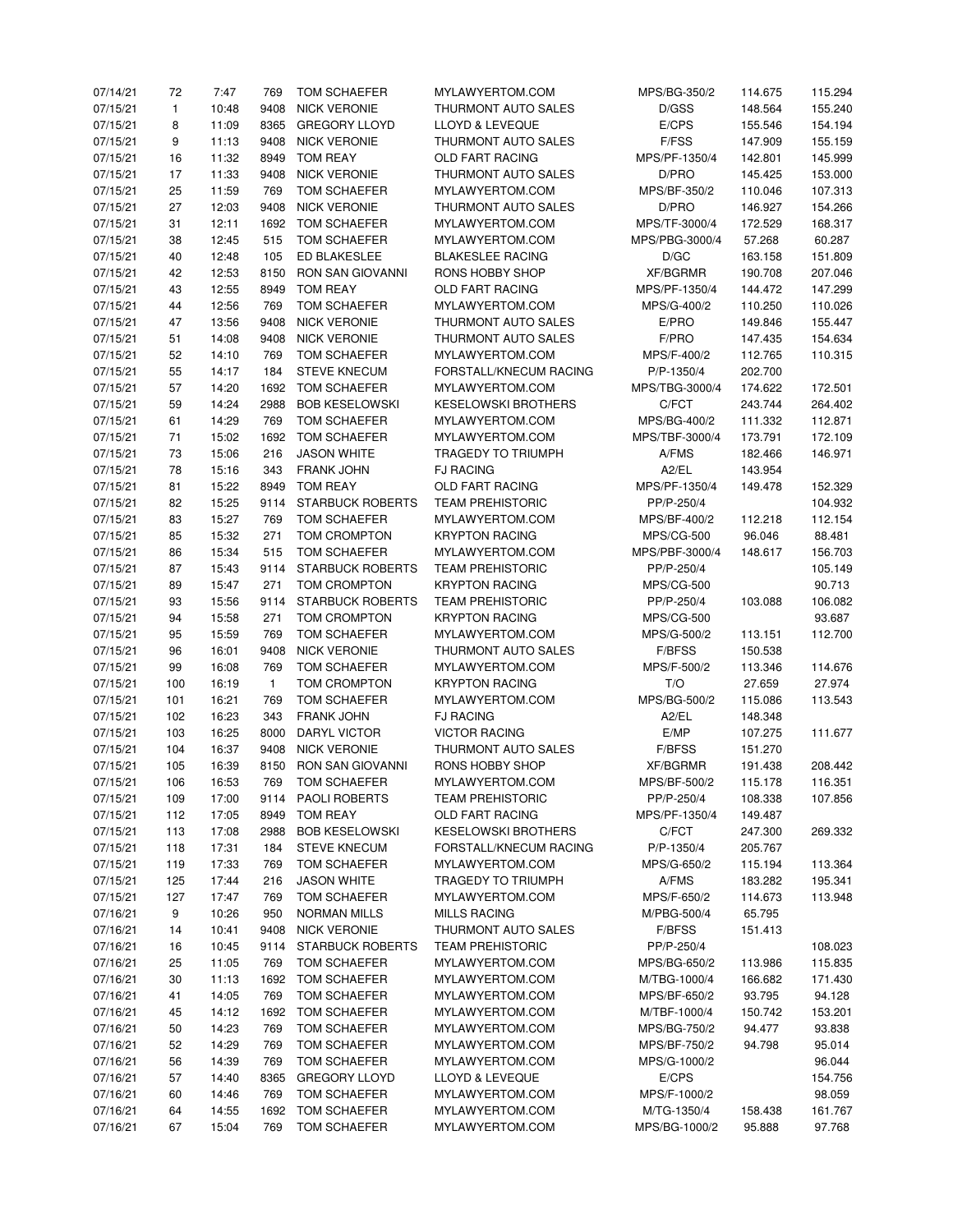| 07/14/21 | 72           | 7:47  | 769          | TOM SCHAEFER            | MYLAWYERTOM.COM            | MPS/BG-350/2      | 114.675 | 115.294 |
|----------|--------------|-------|--------------|-------------------------|----------------------------|-------------------|---------|---------|
| 07/15/21 | $\mathbf{1}$ | 10:48 | 9408         | <b>NICK VERONIE</b>     | THURMONT AUTO SALES        | D/GSS             | 148.564 | 155.240 |
| 07/15/21 | 8            | 11:09 | 8365         | <b>GREGORY LLOYD</b>    | LLOYD & LEVEQUE            | E/CPS             | 155.546 | 154.194 |
| 07/15/21 | 9            | 11:13 | 9408         | <b>NICK VERONIE</b>     | THURMONT AUTO SALES        | F/FSS             | 147.909 | 155.159 |
| 07/15/21 | 16           | 11:32 | 8949         | <b>TOM REAY</b>         | OLD FART RACING            | MPS/PF-1350/4     | 142.801 | 145.999 |
| 07/15/21 | 17           | 11:33 | 9408         | <b>NICK VERONIE</b>     | THURMONT AUTO SALES        | D/PRO             | 145.425 | 153.000 |
| 07/15/21 | 25           | 11:59 | 769          | TOM SCHAEFER            | MYLAWYERTOM.COM            | MPS/BF-350/2      | 110.046 | 107.313 |
| 07/15/21 | 27           | 12:03 | 9408         | <b>NICK VERONIE</b>     | THURMONT AUTO SALES        | D/PRO             | 146.927 | 154.266 |
| 07/15/21 | 31           | 12:11 | 1692         | TOM SCHAEFER            | MYLAWYERTOM.COM            | MPS/TF-3000/4     | 172.529 | 168.317 |
| 07/15/21 | 38           | 12:45 | 515          | TOM SCHAEFER            | MYLAWYERTOM.COM            | MPS/PBG-3000/4    | 57.268  | 60.287  |
| 07/15/21 | 40           | 12:48 | 105          | ED BLAKESLEE            | <b>BLAKESLEE RACING</b>    | D/GC              | 163.158 | 151.809 |
| 07/15/21 | 42           | 12:53 | 8150         | RON SAN GIOVANNI        | RONS HOBBY SHOP            | <b>XF/BGRMR</b>   | 190.708 | 207.046 |
| 07/15/21 | 43           | 12:55 | 8949         | TOM REAY                | OLD FART RACING            | MPS/PF-1350/4     | 144.472 | 147.299 |
| 07/15/21 | 44           | 12:56 | 769          | <b>TOM SCHAEFER</b>     | MYLAWYERTOM.COM            | MPS/G-400/2       |         | 110.026 |
|          |              |       |              |                         |                            |                   | 110.250 |         |
| 07/15/21 | 47           | 13:56 | 9408         | <b>NICK VERONIE</b>     | THURMONT AUTO SALES        | E/PRO             | 149.846 | 155.447 |
| 07/15/21 | 51           | 14:08 | 9408         | <b>NICK VERONIE</b>     | THURMONT AUTO SALES        | F/PRO             | 147.435 | 154.634 |
| 07/15/21 | 52           | 14:10 | 769          | TOM SCHAEFER            | MYLAWYERTOM.COM            | MPS/F-400/2       | 112.765 | 110.315 |
| 07/15/21 | 55           | 14:17 | 184          | <b>STEVE KNECUM</b>     | FORSTALL/KNECUM RACING     | P/P-1350/4        | 202.700 |         |
| 07/15/21 | 57           | 14:20 | 1692         | TOM SCHAEFER            | MYLAWYERTOM.COM            | MPS/TBG-3000/4    | 174.622 | 172.501 |
| 07/15/21 | 59           | 14:24 | 2988         | <b>BOB KESELOWSKI</b>   | <b>KESELOWSKI BROTHERS</b> | C/FCT             | 243.744 | 264.402 |
| 07/15/21 | 61           | 14:29 | 769          | TOM SCHAEFER            | MYLAWYERTOM.COM            | MPS/BG-400/2      | 111.332 | 112.871 |
| 07/15/21 | 71           | 15:02 | 1692         | TOM SCHAEFER            | MYLAWYERTOM.COM            | MPS/TBF-3000/4    | 173.791 | 172.109 |
| 07/15/21 | 73           | 15:06 | 216          | <b>JASON WHITE</b>      | TRAGEDY TO TRIUMPH         | A/FMS             | 182.466 | 146.971 |
| 07/15/21 | 78           | 15:16 | 343          | FRANK JOHN              | <b>FJ RACING</b>           | A2/EL             | 143.954 |         |
| 07/15/21 | 81           | 15:22 | 8949         | <b>TOM REAY</b>         | OLD FART RACING            | MPS/PF-1350/4     | 149.478 | 152.329 |
| 07/15/21 | 82           | 15:25 | 9114         | <b>STARBUCK ROBERTS</b> | <b>TEAM PREHISTORIC</b>    | PP/P-250/4        |         | 104.932 |
| 07/15/21 | 83           | 15:27 | 769          | <b>TOM SCHAEFER</b>     | MYLAWYERTOM.COM            | MPS/BF-400/2      | 112.218 | 112.154 |
| 07/15/21 | 85           | 15:32 | 271          | TOM CROMPTON            | <b>KRYPTON RACING</b>      | <b>MPS/CG-500</b> | 96.046  | 88.481  |
| 07/15/21 | 86           | 15:34 | 515          | TOM SCHAEFER            | MYLAWYERTOM.COM            | MPS/PBF-3000/4    | 148.617 | 156.703 |
| 07/15/21 | 87           | 15:43 | 9114         | <b>STARBUCK ROBERTS</b> | <b>TEAM PREHISTORIC</b>    | PP/P-250/4        |         | 105.149 |
| 07/15/21 | 89           | 15:47 | 271          | TOM CROMPTON            | <b>KRYPTON RACING</b>      | <b>MPS/CG-500</b> |         | 90.713  |
| 07/15/21 | 93           | 15:56 | 9114         | <b>STARBUCK ROBERTS</b> | <b>TEAM PREHISTORIC</b>    | PP/P-250/4        | 103.088 | 106.082 |
| 07/15/21 | 94           | 15:58 | 271          | TOM CROMPTON            | <b>KRYPTON RACING</b>      | <b>MPS/CG-500</b> |         | 93.687  |
| 07/15/21 | 95           | 15:59 | 769          | TOM SCHAEFER            | MYLAWYERTOM.COM            | MPS/G-500/2       | 113.151 | 112.700 |
| 07/15/21 | 96           | 16:01 | 9408         | <b>NICK VERONIE</b>     | THURMONT AUTO SALES        | F/BFSS            | 150.538 |         |
| 07/15/21 | 99           | 16:08 | 769          | TOM SCHAEFER            | MYLAWYERTOM.COM            | MPS/F-500/2       | 113.346 | 114.676 |
| 07/15/21 | 100          | 16:19 | $\mathbf{1}$ | TOM CROMPTON            | <b>KRYPTON RACING</b>      | T/O               | 27.659  | 27.974  |
| 07/15/21 | 101          | 16:21 | 769          | TOM SCHAEFER            | MYLAWYERTOM.COM            | MPS/BG-500/2      | 115.086 | 113.543 |
| 07/15/21 |              |       |              |                         | <b>FJ RACING</b>           |                   |         |         |
|          | 102          | 16:23 | 343          | <b>FRANK JOHN</b>       |                            | A2/EL             | 148.348 |         |
| 07/15/21 | 103          | 16:25 | 8000         | DARYL VICTOR            | <b>VICTOR RACING</b>       | E/MP              | 107.275 | 111.677 |
| 07/15/21 | 104          | 16:37 | 9408         | <b>NICK VERONIE</b>     | THURMONT AUTO SALES        | <b>F/BFSS</b>     | 151.270 |         |
| 07/15/21 | 105          | 16:39 | 8150         | RON SAN GIOVANNI        | RONS HOBBY SHOP            | <b>XF/BGRMR</b>   | 191.438 | 208.442 |
| 07/15/21 | 106          | 16:53 | 769          | <b>TOM SCHAEFER</b>     | MYLAWYERTOM.COM            | MPS/BF-500/2      | 115.178 | 116.351 |
| 07/15/21 | 109          | 17:00 |              | 9114 PAOLI ROBERTS      | <b>TEAM PREHISTORIC</b>    | PP/P-250/4        | 108.338 | 107.856 |
| 07/15/21 | 112          | 17:05 | 8949         | TOM REAY                | OLD FART RACING            | MPS/PF-1350/4     | 149.487 |         |
| 07/15/21 | 113          | 17:08 | 2988         | <b>BOB KESELOWSKI</b>   | <b>KESELOWSKI BROTHERS</b> | C/FCT             | 247.300 | 269.332 |
| 07/15/21 | 118          | 17:31 | 184          | <b>STEVE KNECUM</b>     | FORSTALL/KNECUM RACING     | P/P-1350/4        | 205.767 |         |
| 07/15/21 | 119          | 17:33 | 769          | TOM SCHAEFER            | MYLAWYERTOM.COM            | MPS/G-650/2       | 115.194 | 113.364 |
| 07/15/21 | 125          | 17:44 | 216          | <b>JASON WHITE</b>      | TRAGEDY TO TRIUMPH         | A/FMS             | 183.282 | 195.341 |
| 07/15/21 | 127          | 17:47 | 769          | TOM SCHAEFER            | MYLAWYERTOM.COM            | MPS/F-650/2       | 114.673 | 113.948 |
| 07/16/21 | 9            | 10:26 | 950          | <b>NORMAN MILLS</b>     | <b>MILLS RACING</b>        | M/PBG-500/4       | 65.795  |         |
| 07/16/21 | 14           | 10:41 | 9408         | <b>NICK VERONIE</b>     | THURMONT AUTO SALES        | F/BFSS            | 151.413 |         |
| 07/16/21 | 16           | 10:45 | 9114         | <b>STARBUCK ROBERTS</b> | <b>TEAM PREHISTORIC</b>    | PP/P-250/4        |         | 108.023 |
| 07/16/21 | 25           | 11:05 | 769          | TOM SCHAEFER            | MYLAWYERTOM.COM            | MPS/BG-650/2      | 113.986 | 115.835 |
| 07/16/21 | 30           | 11:13 | 1692         | TOM SCHAEFER            | MYLAWYERTOM.COM            | M/TBG-1000/4      | 166.682 | 171.430 |
| 07/16/21 | 41           | 14:05 | 769          | TOM SCHAEFER            | MYLAWYERTOM.COM            | MPS/BF-650/2      | 93.795  | 94.128  |
| 07/16/21 | 45           | 14:12 | 1692         | TOM SCHAEFER            | MYLAWYERTOM.COM            | M/TBF-1000/4      | 150.742 | 153.201 |
| 07/16/21 | 50           | 14:23 | 769          | TOM SCHAEFER            | MYLAWYERTOM.COM            | MPS/BG-750/2      | 94.477  | 93.838  |
| 07/16/21 | 52           | 14:29 | 769          | TOM SCHAEFER            | MYLAWYERTOM.COM            | MPS/BF-750/2      | 94.798  | 95.014  |
| 07/16/21 | 56           | 14:39 | 769          | TOM SCHAEFER            | MYLAWYERTOM.COM            | MPS/G-1000/2      |         | 96.044  |
| 07/16/21 | 57           | 14:40 | 8365         | <b>GREGORY LLOYD</b>    | LLOYD & LEVEQUE            | E/CPS             |         | 154.756 |
| 07/16/21 | 60           | 14:46 | 769          | TOM SCHAEFER            | MYLAWYERTOM.COM            | MPS/F-1000/2      |         | 98.059  |
| 07/16/21 | 64           | 14:55 | 1692         | TOM SCHAEFER            | MYLAWYERTOM.COM            | M/TG-1350/4       | 158.438 | 161.767 |
| 07/16/21 | 67           | 15:04 | 769          | TOM SCHAEFER            | MYLAWYERTOM.COM            | MPS/BG-1000/2     | 95.888  | 97.768  |
|          |              |       |              |                         |                            |                   |         |         |